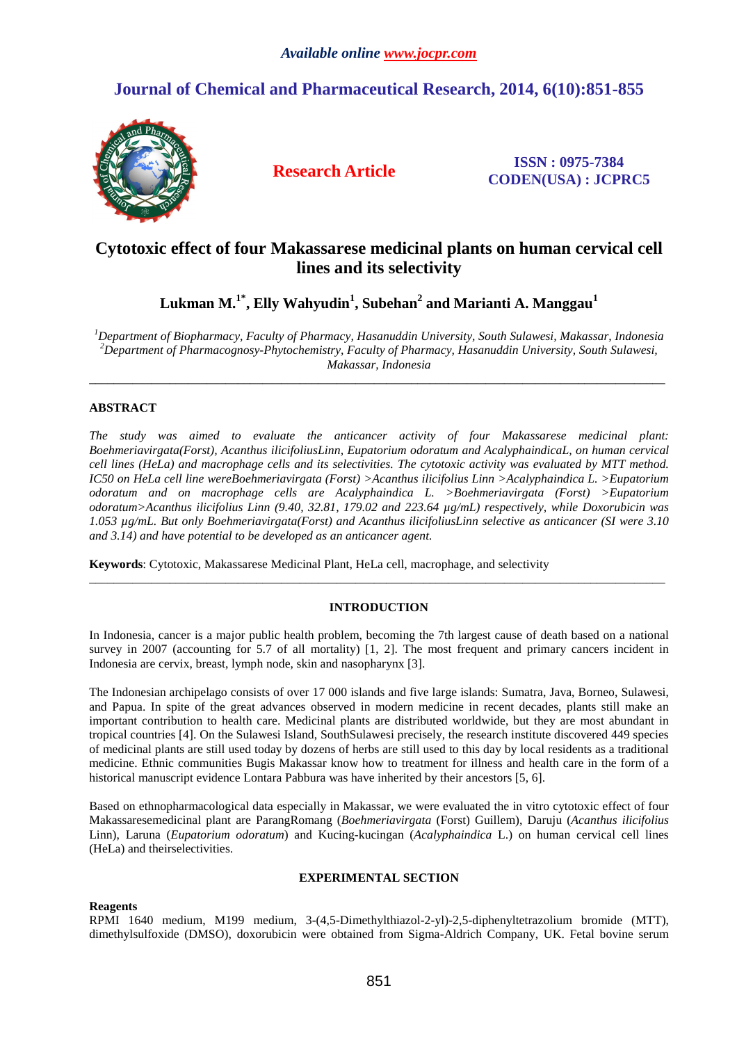# **Journal of Chemical and Pharmaceutical Research, 2014, 6(10):851-855**



**Research Article ISSN : 0975-7384 CODEN(USA) : JCPRC5**

# **Cytotoxic effect of four Makassarese medicinal plants on human cervical cell lines and its selectivity**

**Lukman M.1\*, Elly Wahyudin<sup>1</sup> , Subehan<sup>2</sup> and Marianti A. Manggau<sup>1</sup>**

*<sup>1</sup>Department of Biopharmacy, Faculty of Pharmacy, Hasanuddin University, South Sulawesi, Makassar, Indonesia <sup>2</sup>Department of Pharmacognosy-Phytochemistry, Faculty of Pharmacy, Hasanuddin University, South Sulawesi, Makassar, Indonesia* 

\_\_\_\_\_\_\_\_\_\_\_\_\_\_\_\_\_\_\_\_\_\_\_\_\_\_\_\_\_\_\_\_\_\_\_\_\_\_\_\_\_\_\_\_\_\_\_\_\_\_\_\_\_\_\_\_\_\_\_\_\_\_\_\_\_\_\_\_\_\_\_\_\_\_\_\_\_\_\_\_\_\_\_\_\_\_\_\_\_\_\_\_\_

## **ABSTRACT**

*The study was aimed to evaluate the anticancer activity of four Makassarese medicinal plant: Boehmeriavirgata(Forst), Acanthus ilicifoliusLinn, Eupatorium odoratum and AcalyphaindicaL, on human cervical cell lines (HeLa) and macrophage cells and its selectivities. The cytotoxic activity was evaluated by MTT method. IC50 on HeLa cell line wereBoehmeriavirgata (Forst) >Acanthus ilicifolius Linn >Acalyphaindica L. >Eupatorium odoratum and on macrophage cells are Acalyphaindica L. >Boehmeriavirgata (Forst) >Eupatorium odoratum>Acanthus ilicifolius Linn (9.40, 32.81, 179.02 and 223.64 µg/mL) respectively, while Doxorubicin was 1.053 µg/mL. But only Boehmeriavirgata(Forst) and Acanthus ilicifoliusLinn selective as anticancer (SI were 3.10 and 3.14) and have potential to be developed as an anticancer agent.* 

**Keywords**: Cytotoxic, Makassarese Medicinal Plant, HeLa cell, macrophage, and selectivity

# **INTRODUCTION**

\_\_\_\_\_\_\_\_\_\_\_\_\_\_\_\_\_\_\_\_\_\_\_\_\_\_\_\_\_\_\_\_\_\_\_\_\_\_\_\_\_\_\_\_\_\_\_\_\_\_\_\_\_\_\_\_\_\_\_\_\_\_\_\_\_\_\_\_\_\_\_\_\_\_\_\_\_\_\_\_\_\_\_\_\_\_\_\_\_\_\_\_\_

In Indonesia, cancer is a major public health problem, becoming the 7th largest cause of death based on a national survey in 2007 (accounting for 5.7 of all mortality) [1, 2]. The most frequent and primary cancers incident in Indonesia are cervix, breast, lymph node, skin and nasopharynx [3].

The Indonesian archipelago consists of over 17 000 islands and five large islands: Sumatra, Java, Borneo, Sulawesi, and Papua. In spite of the great advances observed in modern medicine in recent decades, plants still make an important contribution to health care. Medicinal plants are distributed worldwide, but they are most abundant in tropical countries [4]. On the Sulawesi Island, SouthSulawesi precisely, the research institute discovered 449 species of medicinal plants are still used today by dozens of herbs are still used to this day by local residents as a traditional medicine. Ethnic communities Bugis Makassar know how to treatment for illness and health care in the form of a historical manuscript evidence Lontara Pabbura was have inherited by their ancestors [5, 6].

Based on ethnopharmacological data especially in Makassar, we were evaluated the in vitro cytotoxic effect of four Makassaresemedicinal plant are ParangRomang (*Boehmeriavirgata* (Forst) Guillem), Daruju (*Acanthus ilicifolius* Linn), Laruna (*Eupatorium odoratum*) and Kucing-kucingan (*Acalyphaindica* L.) on human cervical cell lines (HeLa) and theirselectivities.

### **EXPERIMENTAL SECTION**

#### **Reagents**

RPMI 1640 medium, M199 medium, 3-(4,5-Dimethylthiazol-2-yl)-2,5-diphenyltetrazolium bromide (MTT), dimethylsulfoxide (DMSO), doxorubicin were obtained from Sigma-Aldrich Company, UK. Fetal bovine serum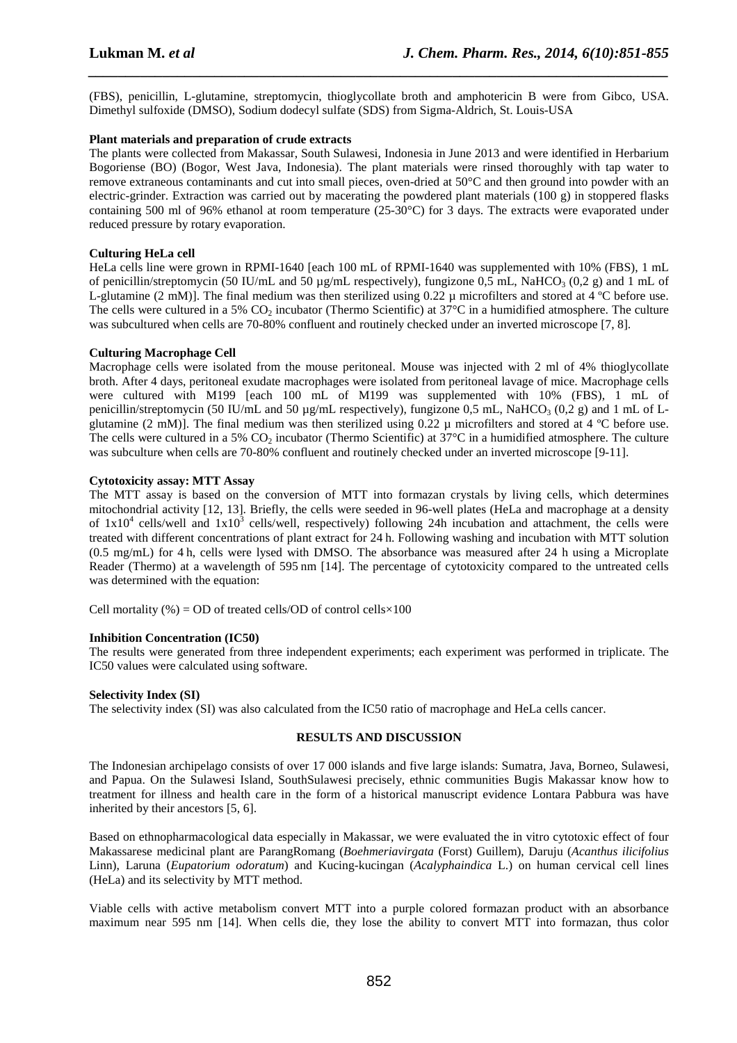(FBS), penicillin, L-glutamine, streptomycin, thioglycollate broth and amphotericin B were from Gibco, USA. Dimethyl sulfoxide (DMSO), Sodium dodecyl sulfate (SDS) from Sigma-Aldrich, St. Louis-USA

*\_\_\_\_\_\_\_\_\_\_\_\_\_\_\_\_\_\_\_\_\_\_\_\_\_\_\_\_\_\_\_\_\_\_\_\_\_\_\_\_\_\_\_\_\_\_\_\_\_\_\_\_\_\_\_\_\_\_\_\_\_\_\_\_\_\_\_\_\_\_\_\_\_\_\_\_\_\_*

#### **Plant materials and preparation of crude extracts**

The plants were collected from Makassar, South Sulawesi, Indonesia in June 2013 and were identified in Herbarium Bogoriense (BO) (Bogor, West Java, Indonesia). The plant materials were rinsed thoroughly with tap water to remove extraneous contaminants and cut into small pieces, oven-dried at 50°C and then ground into powder with an electric-grinder. Extraction was carried out by macerating the powdered plant materials (100 g) in stoppered flasks containing 500 ml of 96% ethanol at room temperature (25-30°C) for 3 days. The extracts were evaporated under reduced pressure by rotary evaporation.

#### **Culturing HeLa cell**

HeLa cells line were grown in RPMI-1640 [each 100 mL of RPMI-1640 was supplemented with 10% (FBS), 1 mL of penicillin/streptomycin (50 IU/mL and 50  $\mu$ g/mL respectively), fungizone 0.5 mL, NaHCO<sub>3</sub> (0.2 g) and 1 mL of L-glutamine (2 mM)]. The final medium was then sterilized using 0.22 µ microfilters and stored at 4 ºC before use. The cells were cultured in a 5% CO<sub>2</sub> incubator (Thermo Scientific) at  $37^{\circ}$ C in a humidified atmosphere. The culture was subcultured when cells are 70-80% confluent and routinely checked under an inverted microscope [7, 8].

#### **Culturing Macrophage Cell**

Macrophage cells were isolated from the mouse peritoneal. Mouse was injected with 2 ml of 4% thioglycollate broth. After 4 days, peritoneal exudate macrophages were isolated from peritoneal lavage of mice. Macrophage cells were cultured with M199 [each 100 mL of M199 was supplemented with 10% (FBS), 1 mL of penicillin/streptomycin (50 IU/mL and 50  $\mu$ g/mL respectively), fungizone 0,5 mL, NaHCO<sub>3</sub> (0,2 g) and 1 mL of Lglutamine (2 mM)]. The final medium was then sterilized using 0.22  $\mu$  microfilters and stored at 4 °C before use. The cells were cultured in a 5% CO<sub>2</sub> incubator (Thermo Scientific) at  $37^{\circ}$ C in a humidified atmosphere. The culture was subculture when cells are 70-80% confluent and routinely checked under an inverted microscope [9-11].

#### **Cytotoxicity assay: MTT Assay**

The MTT assay is based on the conversion of MTT into formazan crystals by living cells, which determines mitochondrial activity [12, 13]. Briefly, the cells were seeded in 96-well plates (HeLa and macrophage at a density of  $1x10^4$  cells/well and  $1x10^3$  cells/well, respectively) following 24h incubation and attachment, the cells were treated with different concentrations of plant extract for 24 h. Following washing and incubation with MTT solution (0.5 mg/mL) for 4 h, cells were lysed with DMSO. The absorbance was measured after 24 h using a Microplate Reader (Thermo) at a wavelength of 595 nm [14]. The percentage of cytotoxicity compared to the untreated cells was determined with the equation:

Cell mortality (%) = OD of treated cells/OD of control cells $\times$ 100

#### **Inhibition Concentration (IC50)**

The results were generated from three independent experiments; each experiment was performed in triplicate. The IC50 values were calculated using software.

#### **Selectivity Index (SI)**

The selectivity index (SI) was also calculated from the IC50 ratio of macrophage and HeLa cells cancer.

#### **RESULTS AND DISCUSSION**

The Indonesian archipelago consists of over 17 000 islands and five large islands: Sumatra, Java, Borneo, Sulawesi, and Papua. On the Sulawesi Island, SouthSulawesi precisely, ethnic communities Bugis Makassar know how to treatment for illness and health care in the form of a historical manuscript evidence Lontara Pabbura was have inherited by their ancestors [5, 6].

Based on ethnopharmacological data especially in Makassar, we were evaluated the in vitro cytotoxic effect of four Makassarese medicinal plant are ParangRomang (*Boehmeriavirgata* (Forst) Guillem), Daruju (*Acanthus ilicifolius* Linn), Laruna (*Eupatorium odoratum*) and Kucing-kucingan (*Acalyphaindica* L.) on human cervical cell lines (HeLa) and its selectivity by MTT method.

Viable cells with active metabolism convert MTT into a purple colored formazan product with an absorbance maximum near 595 nm [14]. When cells die, they lose the ability to convert MTT into formazan, thus color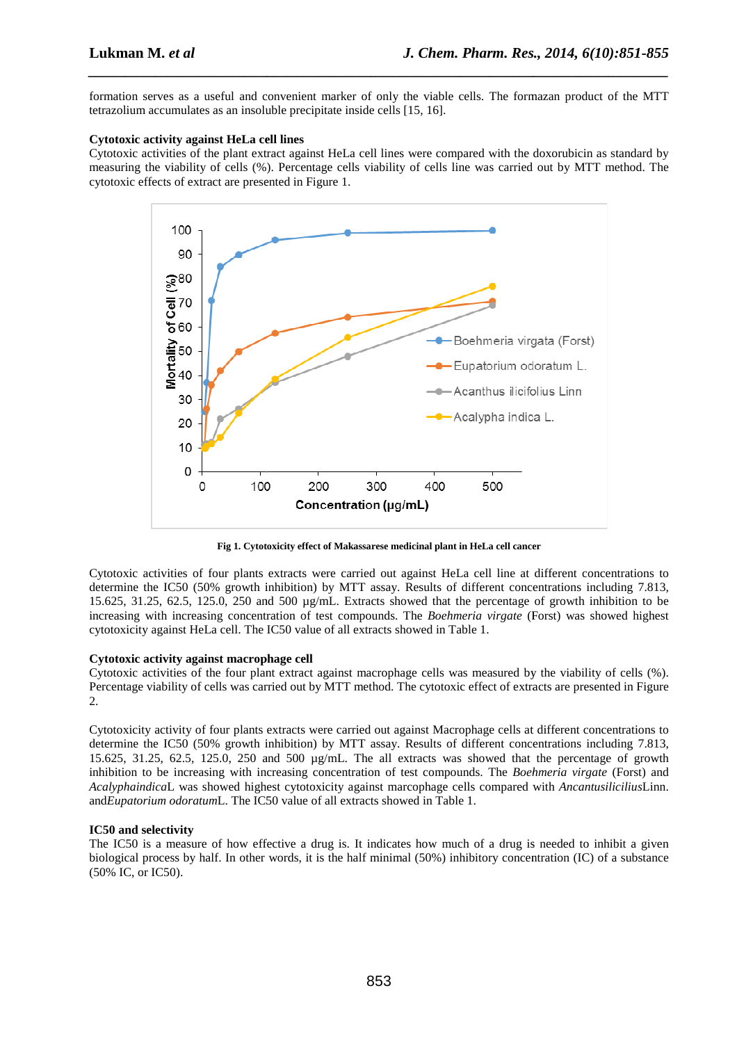formation serves as a useful and convenient marker of only the viable cells. The formazan product of the MTT tetrazolium accumulates as an insoluble precipitate inside cells [15, 16].

*\_\_\_\_\_\_\_\_\_\_\_\_\_\_\_\_\_\_\_\_\_\_\_\_\_\_\_\_\_\_\_\_\_\_\_\_\_\_\_\_\_\_\_\_\_\_\_\_\_\_\_\_\_\_\_\_\_\_\_\_\_\_\_\_\_\_\_\_\_\_\_\_\_\_\_\_\_\_*

### **Cytotoxic activity against HeLa cell lines**

Cytotoxic activities of the plant extract against HeLa cell lines were compared with the doxorubicin as standard by measuring the viability of cells (%). Percentage cells viability of cells line was carried out by MTT method. The cytotoxic effects of extract are presented in Figure 1.



**Fig 1. Cytotoxicity effect of Makassarese medicinal plant in HeLa cell cancer**

Cytotoxic activities of four plants extracts were carried out against HeLa cell line at different concentrations to determine the IC50 (50% growth inhibition) by MTT assay. Results of different concentrations including 7.813, 15.625, 31.25, 62.5, 125.0, 250 and 500 µg/mL. Extracts showed that the percentage of growth inhibition to be 0 increasing with increasing concentration of test compounds. The *Boehmeria virgate* (Forst) was showed highest cytotoxicity against HeLa cell. The IC50 value of all extracts showed in Table 1.

#### **Cytotoxic activity against macrophage cell**

Cytotoxic activities of the four plant extract against macrophage cells was measured by the viability of cells (%). Percentage viability of cells was carried out by MTT method. The cytotoxic effect of extracts are presented in Figure 2.

Cytotoxicity activity of four plants extracts were carried out against Macrophage cells at different concentrations to determine the IC50 (50% growth inhibition) by MTT assay. Results of different concentrations including 7.813, 15.625, 31.25, 62.5, 125.0, 250 and 500 µg/mL. The all extracts was showed that the percentage of growth inhibition to be increasing with increasing concentration of test compounds. The *Boehmeria virgate* (Forst) and *Acalyphaindica*L was showed highest cytotoxicity against marcophage cells compared with *Ancantusilicilius*Linn. and*Eupatorium odoratum*L. The IC50 value of all extracts showed in Table 1.

#### **IC50 and selectivity**

The IC50 is a measure of how effective a drug is. It indicates how much of a drug is needed to inhibit a given biological process by half. In other words, it is the half minimal (50%) inhibitory concentration (IC) of a substance (50% IC, or IC50).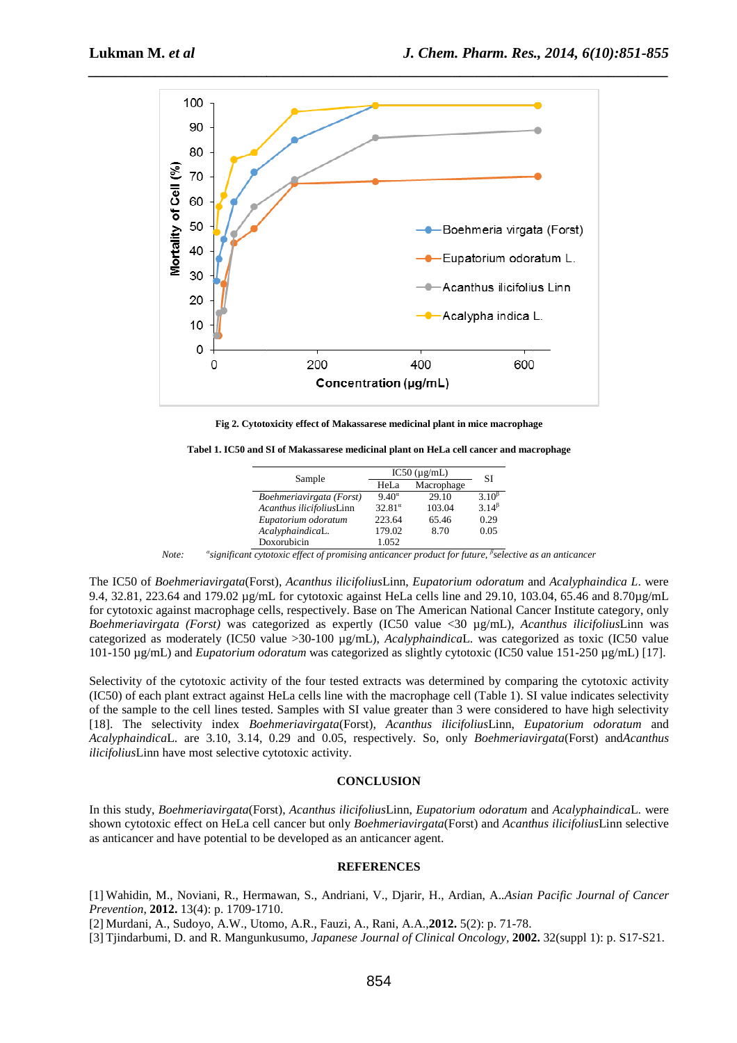

**Fig 2. Cytotoxicity effect of Makassarese medicinal plant in mice macrophage**

**Tabel 1. IC50 and SI of Makassarese medicinal plant on HeLa cell cancer and macrophage**

| Sample                   | $IC50$ ( $\mu$ g/mL) |            | SI             |
|--------------------------|----------------------|------------|----------------|
|                          | HeLa                 | Macrophage |                |
| Boehmeriavirgata (Forst) | $9.40^\alpha$        | 29.10      | $3.10^{\beta}$ |
| Acanthus ilicifoliusLinn | $32.81^{\circ}$      | 103.04     | $3.14^{\beta}$ |
| Eupatorium odoratum      | 223.64               | 65.46      | 0.29           |
| AcalyphaindicaL.         | 179.02               | 8.70       | 0.05           |
| Doxorubicin              | 1.052                |            |                |

 $Note:$ *significant cytotoxic effect of promising anticancer product for future future, β selective as an anticancer*

The IC50 of *Boehmeriavirgata*(Forst), *Acanthus ilicifolius*Linn, *Eupatorium odoratum* and *Acalyphaindica L*. were 9.4, 32.81, 223.64 and 179.02  $\mu$ g/mL for cytotoxic against HeLa cells line and 29.10, 103.04, 65.46 and 8.70 $\mu$ g/mL for cytotoxic against macrophage cells, respectively. Base on The American National Cancer Institute category, only *Boehmeriavirgata (Forst)* was categorized as expertly (IC50 value <30 µg/mL), *Acanthus ilicifolius* Linn was categorized as moderately (IC50 value > 30-100 µg/mL), *AcalyphaindicaL*. was categorized as toxic (IC50 value 101-150 µg/mL) and *Eupatorium odoratum* was categorized as slightly cytotoxic (IC50 value 151-250 µg/mL) [17].

Selectivity of the cytotoxic activity of the four tested extracts was determined by comparing the cytotoxic activity (IC50) of each plant extract against HeLa cells line with the macrophage cell (Table 1). SI value indicates selectivity of the sample to the cell lines tested. Samples with SI value greater than 3 were considered to have high selectivity of the sample to the cell lines tested. Samples with SI value greater than 3 were considered to have high selectivity index *Boehmeriavirgata*(Forst), *Acanthus ilicifoliusLinn, <i>Eupatorium odoratum* and *Acalyphaindica*L. are 3.10, 3.14, 0.29 and 0.05, respectively. So, only *Boehmeriavirgata* (Forst) and*Acanthus*  ilicifoliusLinn have most selective cytotoxic activity.

#### **CONCLUSION**

In this study, *Boehmeriavirgata*(Forst), *Acanthus ilicifolius*Linn, *Eupatorium odoratum* and *Acalyphaindica*L. were shown cytotoxic effect on HeLa cell cancer but only *Boehmeriavirgata*(Forst) and *Acanthus ilicifolius*Linn selective as anticancer and have potential to be developed as an anticancer agent.

#### **REFERENCES**

[1] Wahidin, M., Noviani, R., Hermawan, S., Andriani, V., Djarir, H., Ardian, A. *.Asian Pacific Journal of Cancer Prevention*, 2012. 13(4): p. 1709-1710.

[2] Murdani, A., Sudoyo, A.W., Utomo, A.R., Fauzi, A., Rani, A.A., **2012.** 5(2): p. 71-78.

[3] Tjindarbumi, D. and R. Mangunkusumo, *Japanese Journal of Clinical Oncology,* **2002.**  32(suppl 1): p. S17-S21.